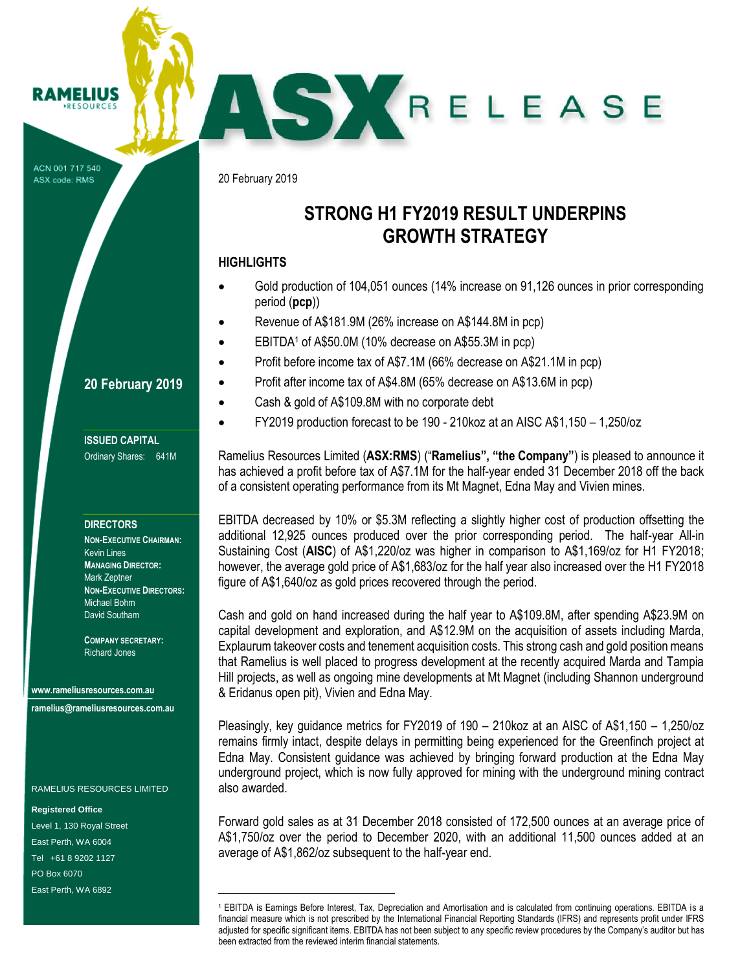ACN 001 717 540 ASX code: RMS

AMELIUS RESOURCE

20 February 2019

# **STRONG H1 FY2019 RESULT UNDERPINS GROWTH STRATEGY**

ASKRELEASE

### **HIGHLIGHTS**

- Gold production of 104,051 ounces (14% increase on 91,126 ounces in prior corresponding period (**pcp**))
- Revenue of A\$181.9M (26% increase on A\$144.8M in pcp)
- EBITDA<sup>1</sup> of A\$50.0M (10% decrease on A\$55.3M in pcp)
	- Profit before income tax of A\$7.1M (66% decrease on A\$21.1M in pcp)
- Profit after income tax of A\$4.8M (65% decrease on A\$13.6M in pcp)
	- Cash & gold of A\$109.8M with no corporate debt
- FY2019 production forecast to be 190 210koz at an AISC A\$1,150 1,250/oz

Ramelius Resources Limited (**ASX:RMS**) ("**Ramelius", "the Company"**) is pleased to announce it has achieved a profit before tax of A\$7.1M for the half-year ended 31 December 2018 off the back of a consistent operating performance from its Mt Magnet, Edna May and Vivien mines.

EBITDA decreased by 10% or \$5.3M reflecting a slightly higher cost of production offsetting the additional 12,925 ounces produced over the prior corresponding period. The half-year All-in Sustaining Cost (**AISC**) of A\$1,220/oz was higher in comparison to A\$1,169/oz for H1 FY2018; however, the average gold price of A\$1,683/oz for the half year also increased over the H1 FY2018 figure of A\$1,640/oz as gold prices recovered through the period.

Cash and gold on hand increased during the half year to A\$109.8M, after spending A\$23.9M on capital development and exploration, and A\$12.9M on the acquisition of assets including Marda, Explaurum takeover costs and tenement acquisition costs. This strong cash and gold position means that Ramelius is well placed to progress development at the recently acquired Marda and Tampia Hill projects, as well as ongoing mine developments at Mt Magnet (including Shannon underground & Eridanus open pit), Vivien and Edna May.

Pleasingly, key guidance metrics for FY2019 of 190 – 210koz at an AISC of A\$1,150 – 1,250/oz remains firmly intact, despite delays in permitting being experienced for the Greenfinch project at Edna May. Consistent guidance was achieved by bringing forward production at the Edna May underground project, which is now fully approved for mining with the underground mining contract also awarded.

Forward gold sales as at 31 December 2018 consisted of 172,500 ounces at an average price of A\$1,750/oz over the period to December 2020, with an additional 11,500 ounces added at an average of A\$1,862/oz subsequent to the half-year end.

# **20 February 2019**

**ISSUED CAPITAL** Ordinary Shares: 641M

#### **DIRECTORS**

**NON-EXECUTIVE CHAIRMAN:** Kevin Lines **MANAGING DIRECTOR:** Mark Zeptner **NON-EXECUTIVE DIRECTORS:** Michael Bohm David Southam

**COMPANY SECRETARY:** Richard Jones

**www.rameliusresources.com.au ramelius@rameliusresources.com.au**

RAMELIUS RESOURCES LIMITED

÷.

**Registered Office** Level 1, 130 Royal Street East Perth, WA 6004 Tel +61 8 9202 1127 PO Box 6070 East Perth, WA 6892

<sup>1</sup> EBITDA is Earnings Before Interest, Tax, Depreciation and Amortisation and is calculated from continuing operations. EBITDA is a financial measure which is not prescribed by the International Financial Reporting Standards (IFRS) and represents profit under IFRS adiusted for specific significant items. EBITDA has not been subject to any specific review procedures by the Company's auditor but has been extracted from the reviewed interim financial statements.